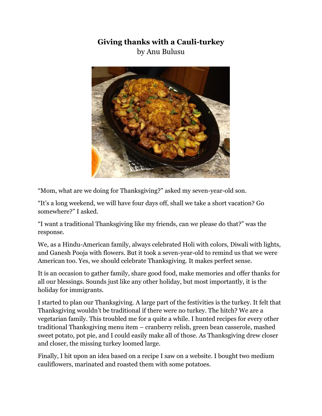## **Giving thanks with a Cauli-turkey** by Anu Bulusu



"Mom, what are we doing for Thanksgiving?" asked my seven-year-old son.

"It's a long weekend, we will have four days off, shall we take a short vacation? Go somewhere?" I asked.

"I want a traditional Thanksgiving like my friends, can we please do that?" was the response.

We, as a Hindu-American family, always celebrated Holi with colors, Diwali with lights, and Ganesh Pooja with flowers. But it took a seven-year-old to remind us that we were American too. Yes, we should celebrate Thanksgiving. It makes perfect sense.

It is an occasion to gather family, share good food, make memories and offer thanks for all our blessings. Sounds just like any other holiday, but most importantly, it is the holiday for immigrants.

I started to plan our Thanksgiving. A large part of the festivities is the turkey. It felt that Thanksgiving wouldn't be traditional if there were no turkey. The hitch? We are a vegetarian family. This troubled me for a quite a while. I hunted recipes for every other traditional Thanksgiving menu item – cranberry relish, green bean casserole, mashed sweet potato, pot pie, and I could easily make all of those. As Thanksgiving drew closer and closer, the missing turkey loomed large.

Finally, I hit upon an idea based on a recipe I saw on a website. I bought two medium cauliflowers, marinated and roasted them with some potatoes.